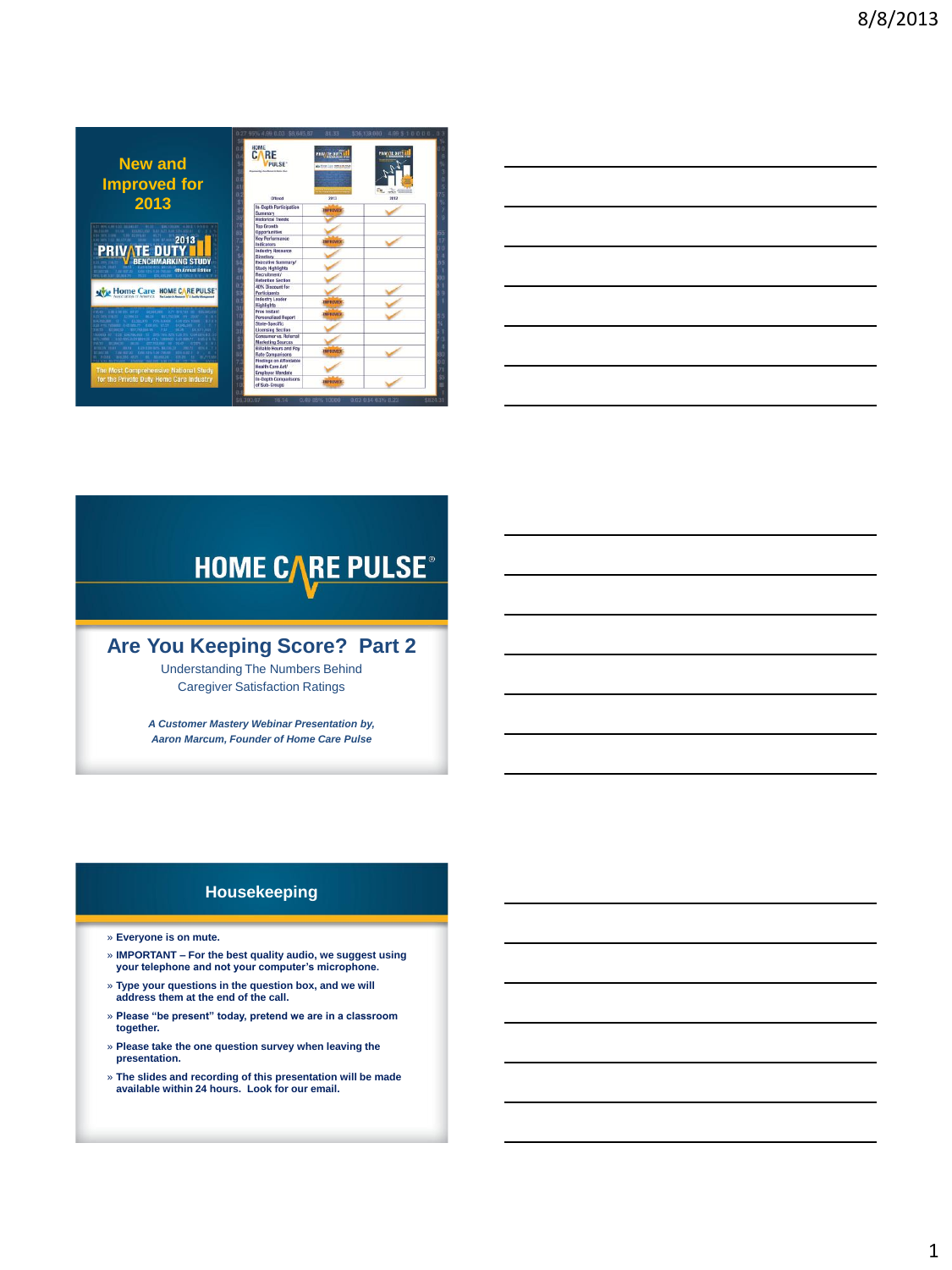| <b>New and</b><br><b>Improved for</b>                                                                 | 0.27 95% 4.99 0.03 \$8,645.87<br>HOME<br>C.<br><b>RE</b><br><b>PIII SF</b><br><b><i><u><u><b>DESCRIPTION CONTRACTS</b></u></u></i></b> | 81.33<br><b>PRIV TE DUTY</b><br><b>A-SHACLE RMSKRA</b> | \$36,139,000 4.99 \$10000.03<br><b>REVATE DIT</b> |
|-------------------------------------------------------------------------------------------------------|----------------------------------------------------------------------------------------------------------------------------------------|--------------------------------------------------------|---------------------------------------------------|
|                                                                                                       | Offered                                                                                                                                | 2013                                                   | 2012                                              |
| 2013                                                                                                  | In-Death Participation<br>Summary<br><b>Historical Trends</b>                                                                          | <b>PROVE</b>                                           |                                                   |
| <b>MAXIMUM</b> CAMERADA<br><b>BLAK KNURD, THE SAFAYY RAN 2214 BLEET OF</b>                            | <b>Top Growth</b><br><b>Opportunities</b>                                                                                              |                                                        |                                                   |
| 2013                                                                                                  | Key Performance<br>Indicators                                                                                                          |                                                        |                                                   |
| <b>PRIVATE DUTY</b>                                                                                   | <b>Industry Resource</b>                                                                                                               |                                                        |                                                   |
| BENCHMARKING STUDY                                                                                    | Directory<br><b>Executive Summary/</b>                                                                                                 |                                                        |                                                   |
| THE NUTRE AND THE COST FIRE 4th Annual Edition<br>CAN ANY DESIGN TO THE THE COLUMN TWO SCHOOLS WITH   | <b>Study Highlights</b><br>Recruitment/                                                                                                |                                                        |                                                   |
|                                                                                                       | <b>Retention Section</b><br>40% Discount for                                                                                           |                                                        |                                                   |
| <b>MODE CATE HOME CARE PULSE</b>                                                                      | <b>Participants</b><br><b>Industry Leader</b>                                                                                          |                                                        |                                                   |
|                                                                                                       | <b>Highlights</b>                                                                                                                      | <b>BY ELGAND</b>                                       |                                                   |
| <b>DOMESTIC RECEIVED AND RESIDENCE</b>                                                                | Free Instant<br><b>Personalized Report</b>                                                                                             |                                                        |                                                   |
|                                                                                                       | State-Specific<br><b>Licensing Section</b>                                                                                             |                                                        |                                                   |
|                                                                                                       | Consumer vs. Referral                                                                                                                  |                                                        |                                                   |
| <b>BATH EZERRO BYS. SACRAZY</b><br>AND THE AUTHOR AND ARRANGED AT LCCC. THE RESIDENCE<br><b>BELRY</b> | <b>Marketing Sources</b><br><b>Billable Hours and Pay</b><br><b>Rate Comparisons</b>                                                   |                                                        |                                                   |
| <b>The Most Comprehensive National Study</b>                                                          | <b>Findings on Affordable</b><br>Health Care Act/<br><b>Employer Mandate</b>                                                           |                                                        |                                                   |
| for the Private Duty Home Care Industry                                                               | In-Depth Comparisons<br>of Sub-Groups                                                                                                  | <b>MPERCISE</b>                                        |                                                   |

| <u> 1989 - Johann Barn, mars ann an t-Amhain ann an t-Amhain ann an t-Amhain ann an t-Amhain an t-Amhain ann an t-</u> |  |  |
|------------------------------------------------------------------------------------------------------------------------|--|--|
| <u> 1989 - Johann Barn, amerikan bernama di sebagai bernama di sebagai bernama di sebagai bernama di sebagai bern</u>  |  |  |
| the contract of the contract of the contract of the contract of the contract of the contract of the contract of        |  |  |
| <u> 1989 - Johann Harry Harry Harry Harry Harry Harry Harry Harry Harry Harry Harry Harry Harry Harry Harry Harry</u>  |  |  |
|                                                                                                                        |  |  |

# **HOME CARE PULSE®**

## **Are You Keeping Score? Part 2**

Understanding The Numbers Behind Caregiver Satisfaction Ratings

*A Customer Mastery Webinar Presentation by, Aaron Marcum, Founder of Home Care Pulse*

## **Housekeeping**

- » **Everyone is on mute.**
- » **IMPORTANT – For the best quality audio, we suggest using your telephone and not your computer's microphone.**
- » **Type your questions in the question box, and we will address them at the end of the call.**
- » **Please "be present" today, pretend we are in a classroom together.**
- » **Please take the one question survey when leaving the presentation.**
- » **The slides and recording of this presentation will be made available within 24 hours. Look for our email.**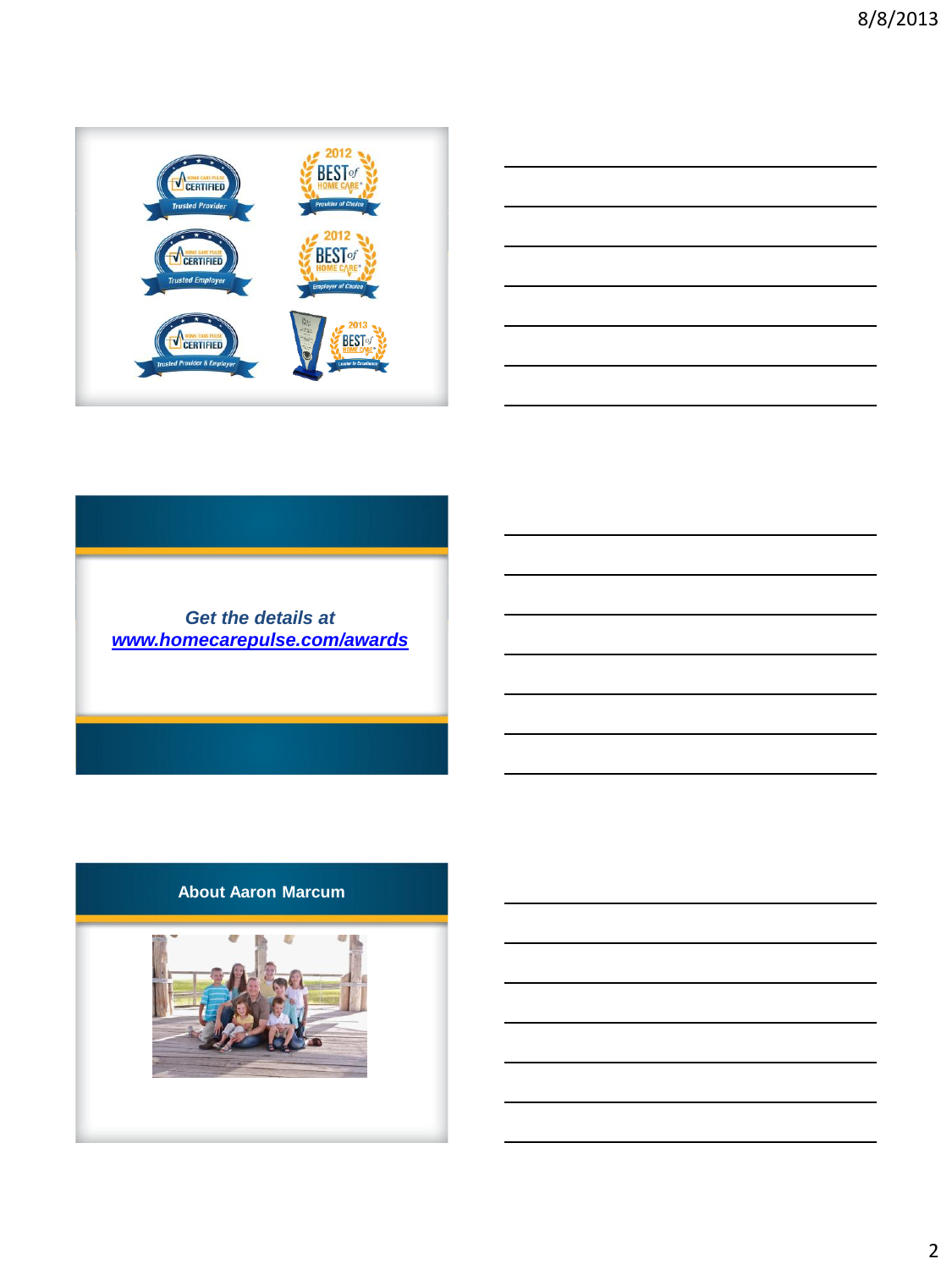



## *Get the details at [www.homecarepulse.com/awards](http://www.homecarepulse.com/awards)*

## **About Aaron Marcum**

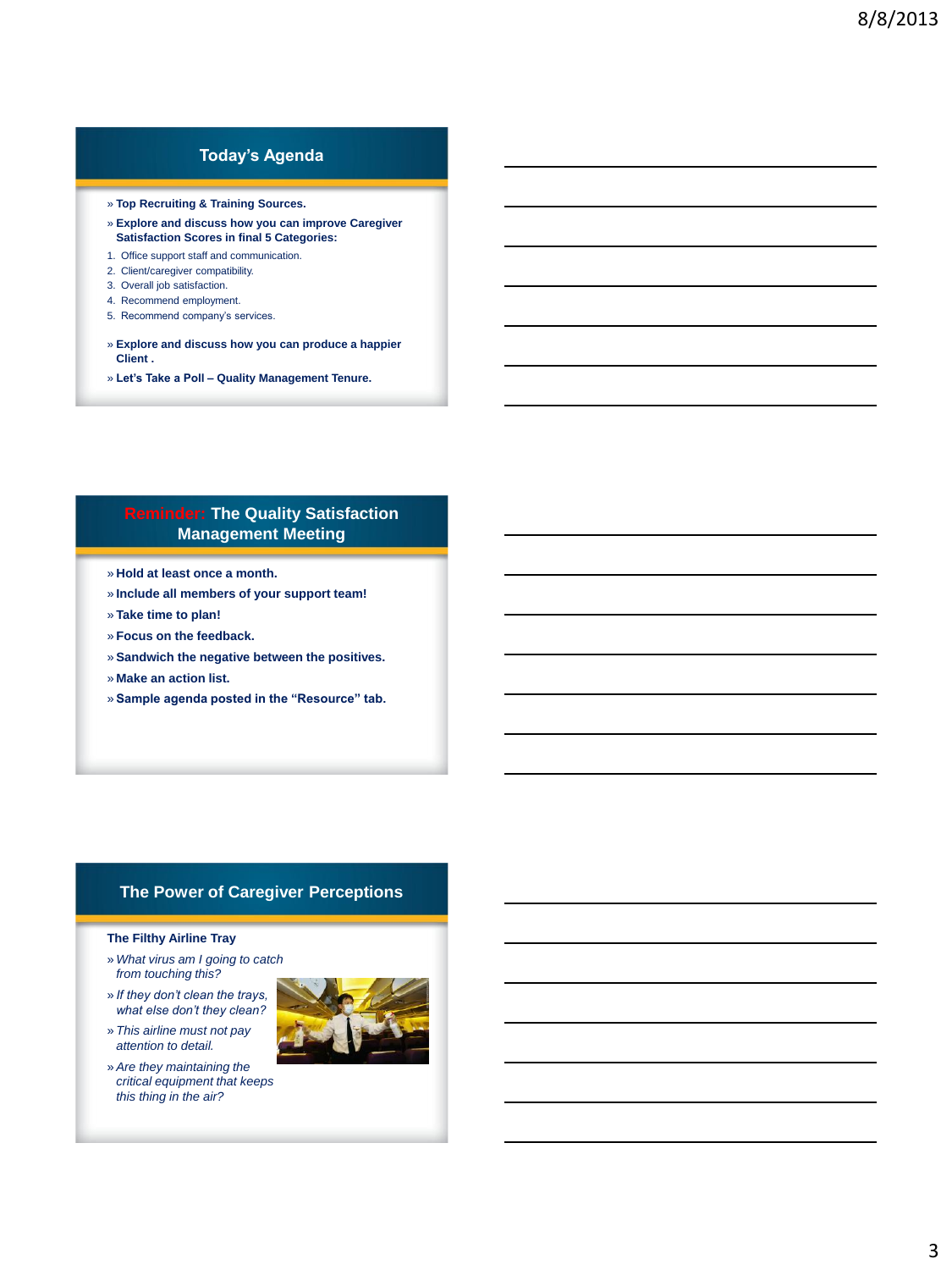## **Today's Agenda**

- » **Top Recruiting & Training Sources.**
- » **Explore and discuss how you can improve Caregiver Satisfaction Scores in final 5 Categories:**
- 1. Office support staff and communication.
- 2. Client/caregiver compatibility.
- 3. Overall job satisfaction.
- 4. Recommend employment.
- 5. Recommend company's services.
- » **Explore and discuss how you can produce a happier Client .**
- » **Let's Take a Poll – Quality Management Tenure.**

### **Reminder: The Quality Satisfaction Management Meeting**

- » **Hold at least once a month.**
- » **Include all members of your support team!**
- » **Take time to plan!**
- » **Focus on the feedback.**
- » **Sandwich the negative between the positives.**
- » **Make an action list.**
- » **Sample agenda posted in the "Resource" tab.**

#### **The Power of Caregiver Perceptions**

#### **The Filthy Airline Tray**

- » *What virus am I going to catch from touching this?*
- » *If they don't clean the trays, what else don't they clean?*
- » *This airline must not pay attention to detail.*
- » *Are they maintaining the critical equipment that keeps this thing in the air?*

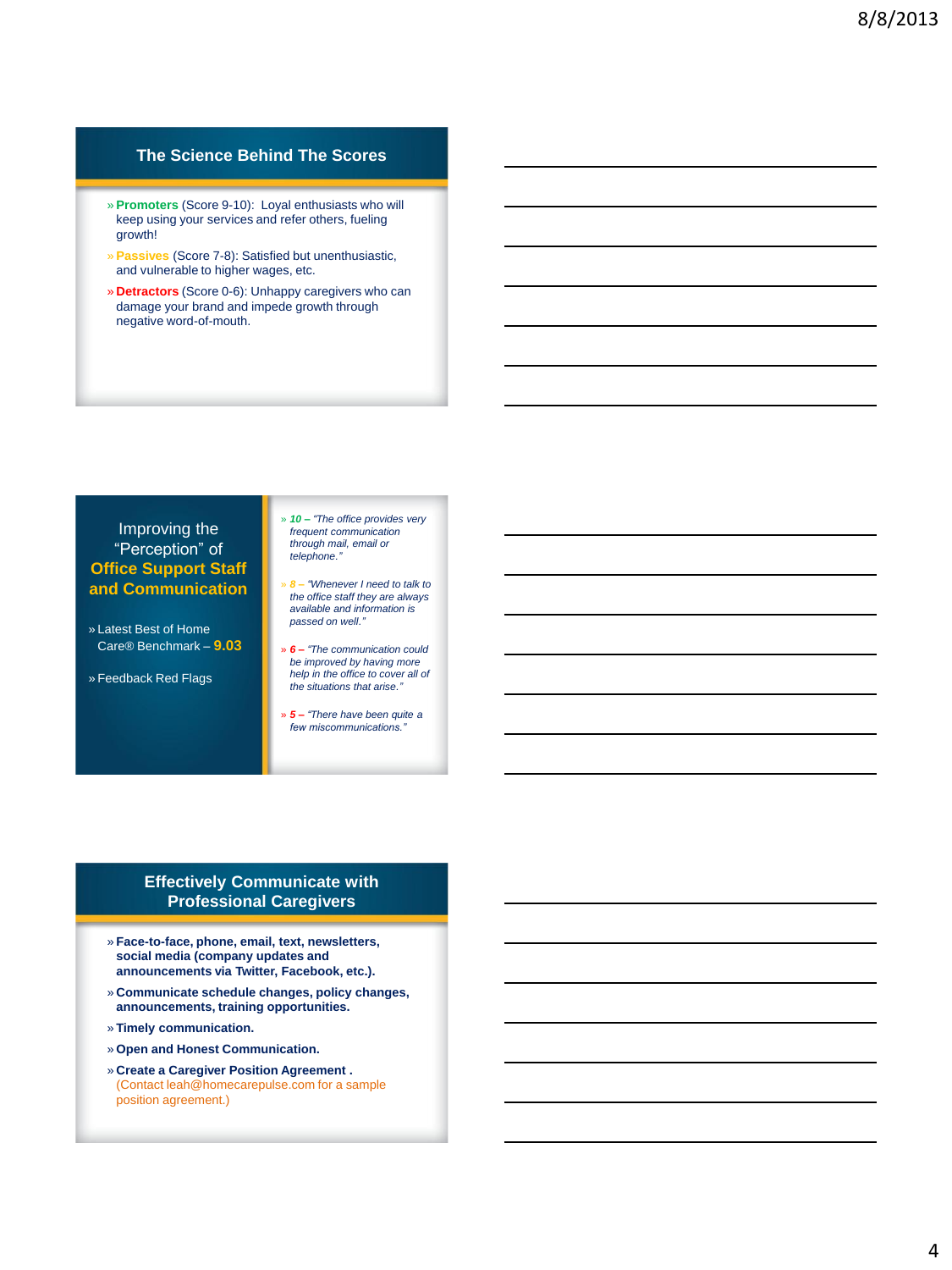## **The Science Behind The Scores**

- » **Promoters** (Score 9-10): Loyal enthusiasts who will keep using your services and refer others, fueling growth!
- » **Passives** (Score 7-8): Satisfied but unenthusiastic, and vulnerable to higher wages, etc.
- » **Detractors** (Score 0-6): Unhappy caregivers who can damage your brand and impede growth through negative word-of-mouth.

#### Improving the "Perception" of **Office Support Staff and Communication**

- » Latest Best of Home Care® Benchmark – **9.03**
- » Feedback Red Flags

» *10 – "The office provides very frequent communication through mail, email or telephone."*

- » *8 – "Whenever I need to talk to the office staff they are always available and information is passed on well."*
- » *6 – "The communication could be improved by having more help in the office to cover all of the situations that arise."*
- » *5 – "There have been quite a few miscommunications."*

#### **Effectively Communicate with Professional Caregivers**

- » **Face-to-face, phone, email, text, newsletters, social media (company updates and announcements via Twitter, Facebook, etc.).**
- » **Communicate schedule changes, policy changes, announcements, training opportunities.**
- » **Timely communication.**
- » **Open and Honest Communication.**
- » **Create a Caregiver Position Agreement .**  (Contact leah@homecarepulse.com for a sample position agreement.)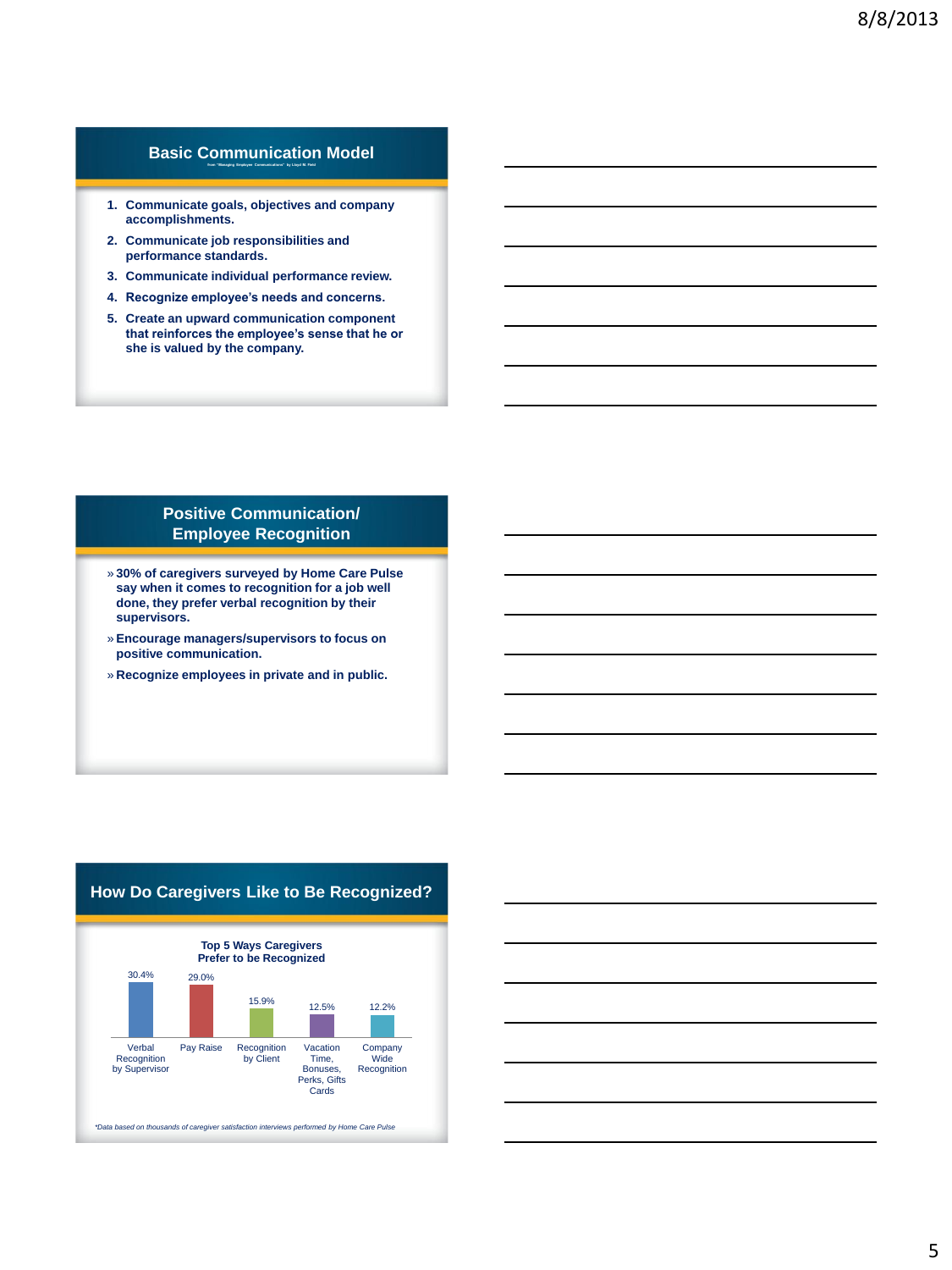#### **Basic Communication Model from "Managing Employee Communications" by Lloyd M. Field**

- **1. Communicate goals, objectives and company accomplishments.**
- **2. Communicate job responsibilities and performance standards.**
- **3. Communicate individual performance review.**
- **4. Recognize employee's needs and concerns.**
- **5. Create an upward communication component that reinforces the employee's sense that he or she is valued by the company.**

#### **Positive Communication/ Employee Recognition**

- » **30% of caregivers surveyed by Home Care Pulse say when it comes to recognition for a job well done, they prefer verbal recognition by their supervisors.**
- » **Encourage managers/supervisors to focus on positive communication.**
- » **Recognize employees in private and in public.**

#### **How Do Caregivers Like to Be Recognized?**

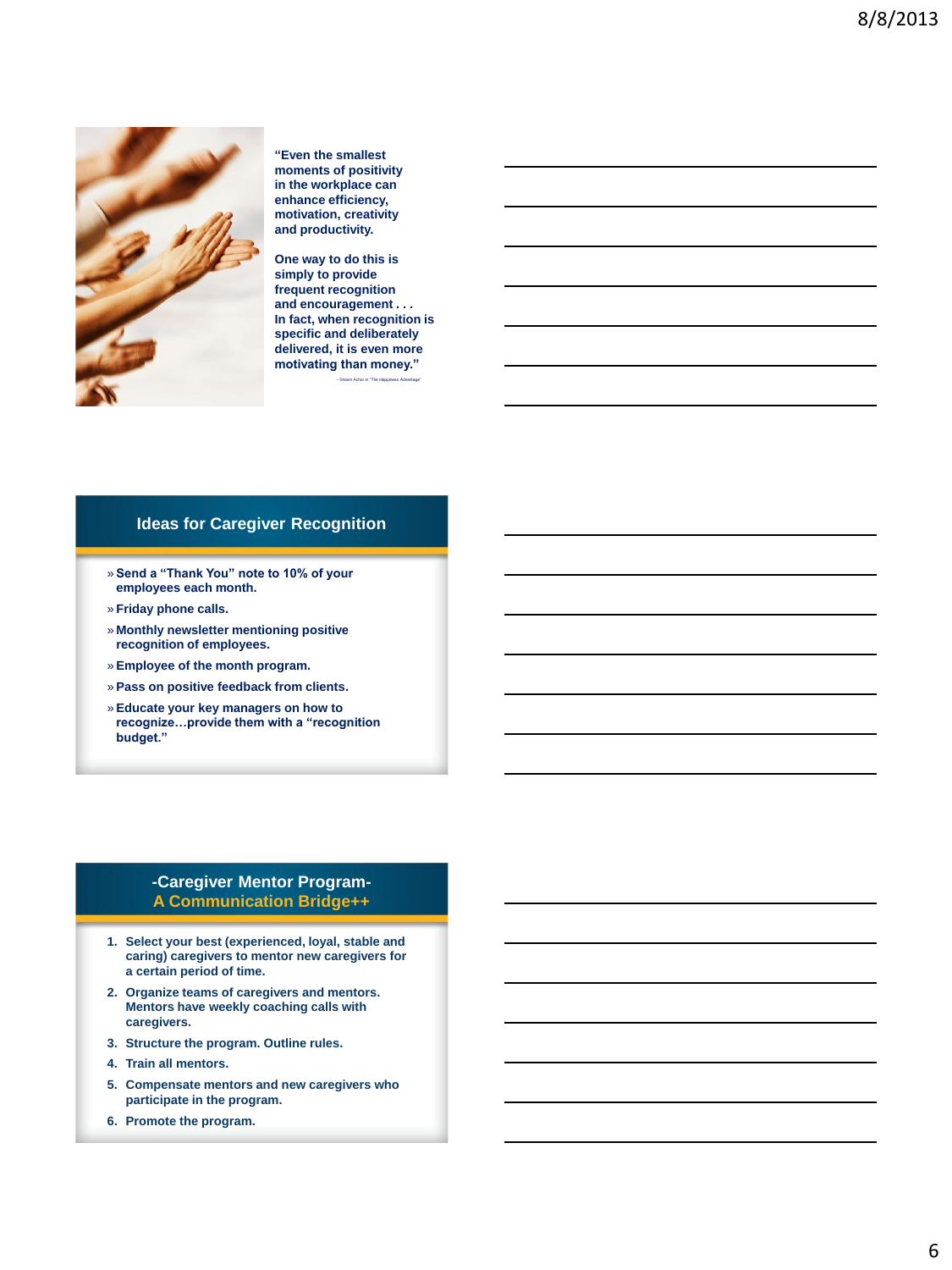

**"Even the smallest moments of positivity in the workplace can enhance efficiency, motivation, creativity and productivity.** 

**One way to do this is simply to provide frequent recognition and encouragement . . . In fact, when recognition is specific and deliberately delivered, it is even more motivating than money."**

--Shawn Achor in "The Happiness Advantage"

#### **Ideas for Caregiver Recognition**

- » **Send a "Thank You" note to 10% of your employees each month.**
- » **Friday phone calls.**
- » **Monthly newsletter mentioning positive recognition of employees.**
- » **Employee of the month program.**
- » **Pass on positive feedback from clients.**
- » **Educate your key managers on how to recognize…provide them with a "recognition budget."**

#### **-Caregiver Mentor Program-A Communication Bridge++**

- **1. Select your best (experienced, loyal, stable and caring) caregivers to mentor new caregivers for a certain period of time.**
- **2. Organize teams of caregivers and mentors. Mentors have weekly coaching calls with caregivers.**
- **3. Structure the program. Outline rules.**
- **4. Train all mentors.**
- **5. Compensate mentors and new caregivers who participate in the program.**
- **6. Promote the program.**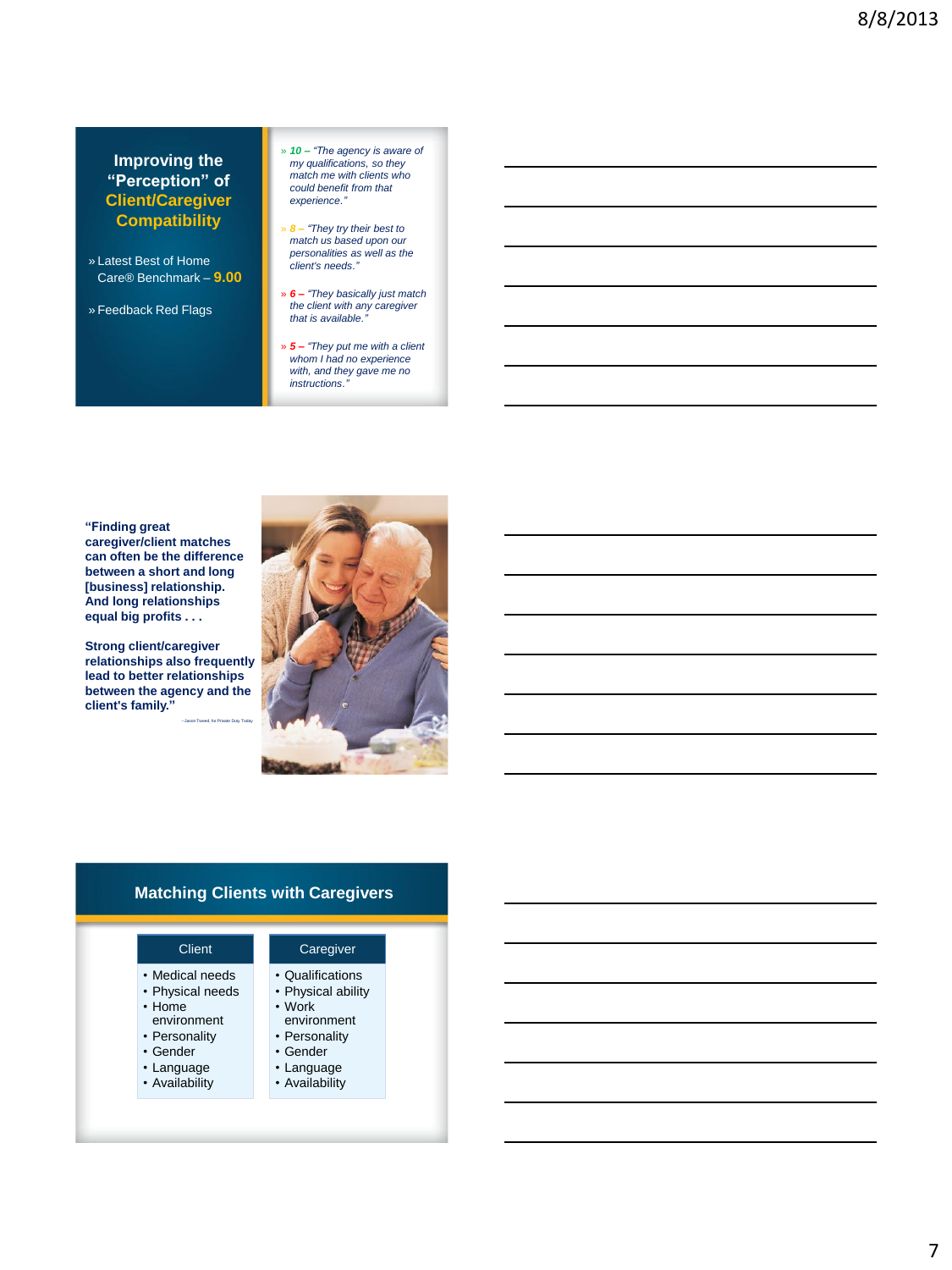#### **Improving the "Perception" of Client/Caregiver Compatibility**

- » Latest Best of Home Care® Benchmark – **9.00**
- » Feedback Red Flags
- » *10 – "The agency is aware of my qualifications, so they match me with clients who could benefit from that experience."*
- » *8 – "They try their best to match us based upon our personalities as well as the client's needs."*
- » *6 – "They basically just match the client with any caregiver that is available."*
- » *5 – "They put me with a client whom I had no experience with, and they gave me no instructions."*

**"Finding great caregiver/client matches can often be the difference between a short and long [business] relationship. And long relationships equal big profits . . .** 

**Strong client/caregiver relationships also frequently lead to better relationships between the agency and the client's family."**

--Jason Tweed, for Private Duty Today



## **Matching Clients with Caregivers**

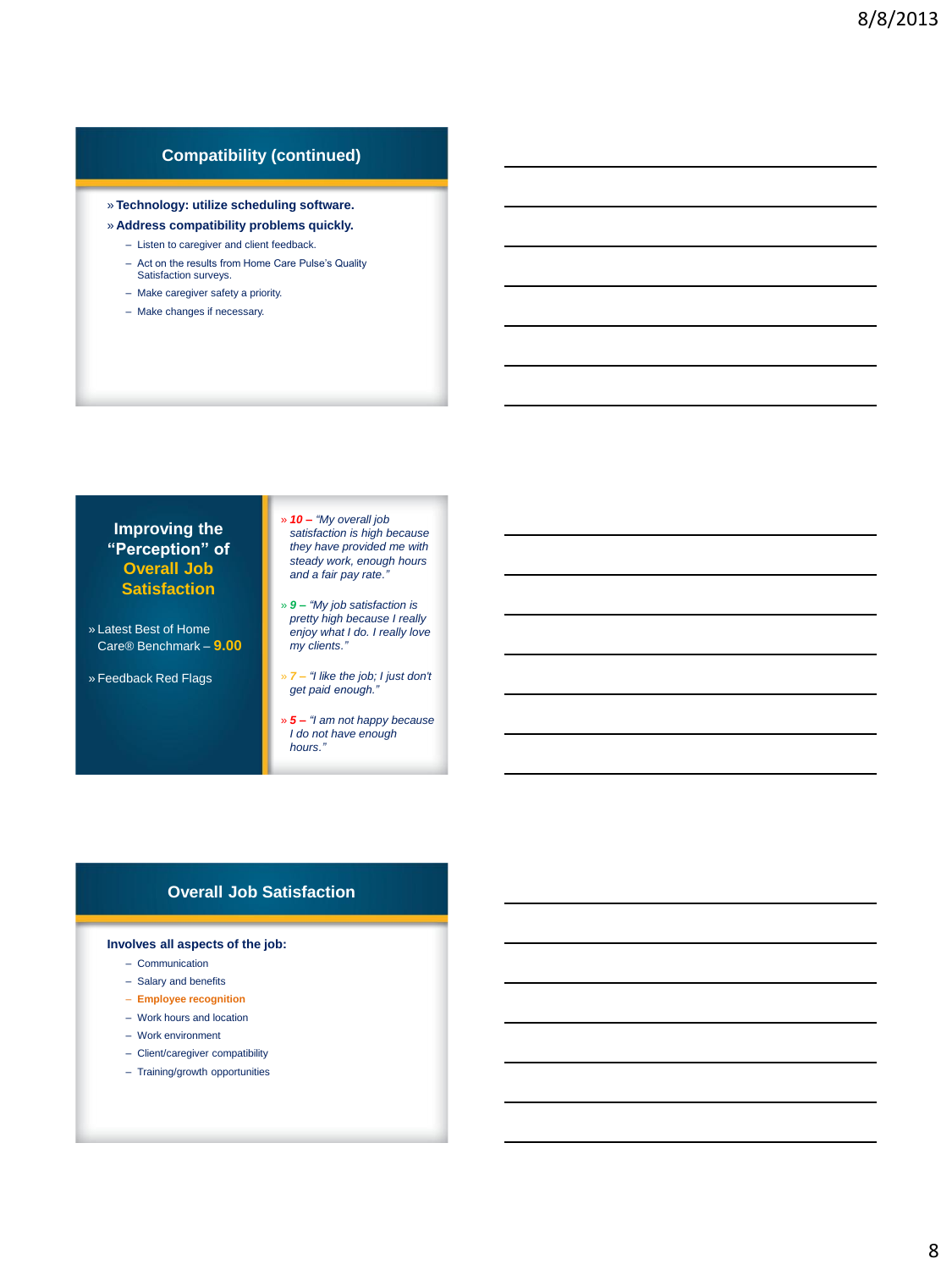## **Compatibility (continued)**

#### » **Technology: utilize scheduling software.**

#### » **Address compatibility problems quickly.**

- Listen to caregiver and client feedback.
- Act on the results from Home Care Pulse's Quality Satisfaction surveys.
- Make caregiver safety a priority.
- Make changes if necessary.

#### **Improving the "Perception" of Overall Job Satisfaction**

- » Latest Best of Home Care® Benchmark – **9.00**
- » Feedback Red Flags

» *10 – "My overall job satisfaction is high because they have provided me with steady work, enough hours and a fair pay rate."*

- » *9 – "My job satisfaction is pretty high because I really enjoy what I do. I really love my clients."*
- » *7 – "I like the job; I just don't get paid enough."*
- » *5 – "I am not happy because I do not have enough hours."*

#### **Overall Job Satisfaction**

#### **Involves all aspects of the job:**

- Communication
- Salary and benefits
- **Employee recognition**
- Work hours and location
- Work environment
- Client/caregiver compatibility
- Training/growth opportunities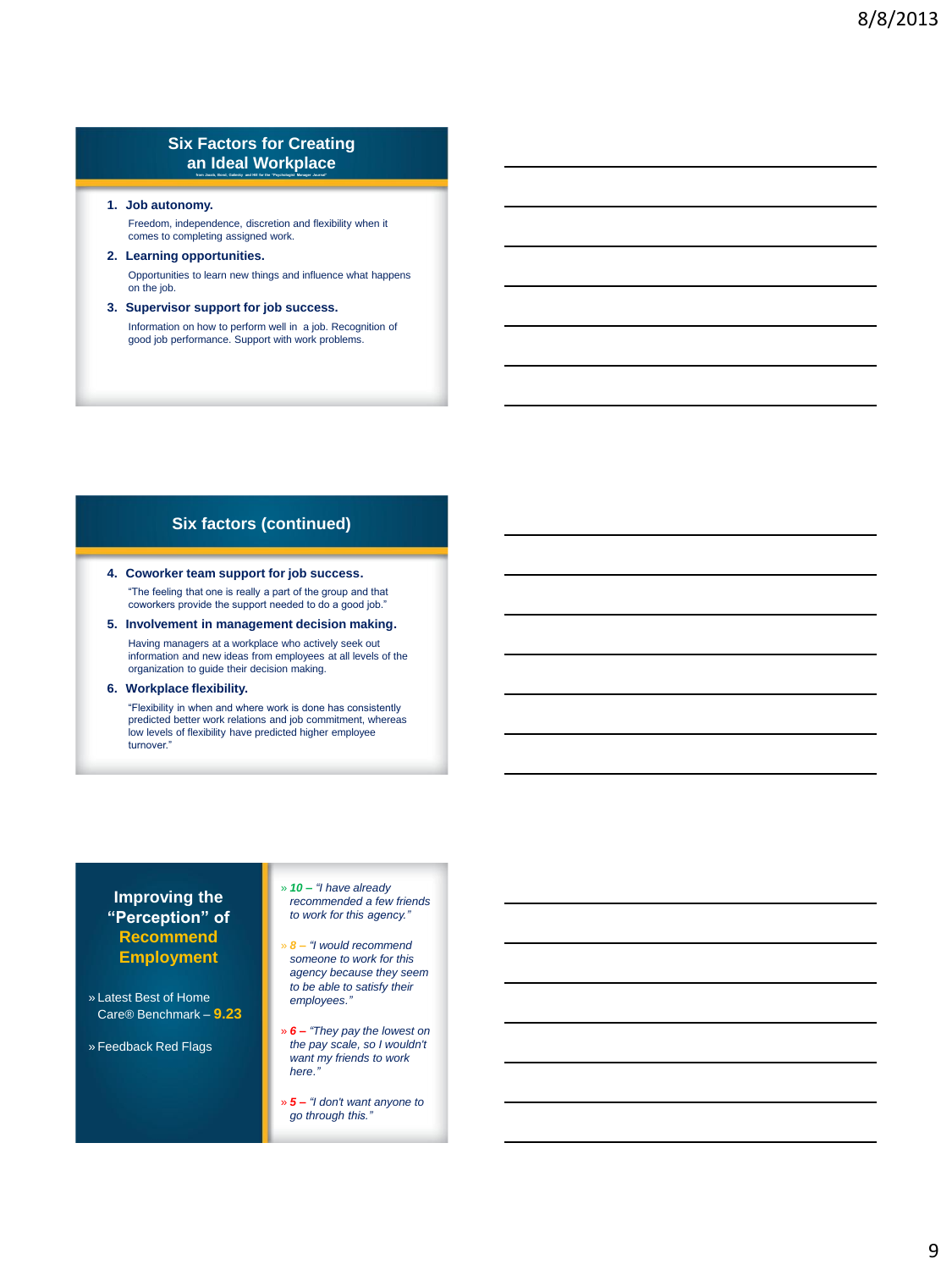#### **Six Factors for Creating an Ideal Workplace from Jacob, Bond, Galinsky and Hill for the "Psychologist Manager Journal"**

#### **1. Job autonomy.**

Freedom, independence, discretion and flexibility when it comes to completing assigned work.

#### **2. Learning opportunities.** Opportunities to learn new things and influence what happens on the job.

**3. Supervisor support for job success.** Information on how to perform well in a job. Recognition of good job performance. Support with work problems.

#### **Six factors (continued)**

## **4. Coworker team support for job success.**

"The feeling that one is really a part of the group and that coworkers provide the support needed to do a good job."

#### **5. Involvement in management decision making.** Having managers at a workplace who actively seek out information and new ideas from employees at all levels of the organization to guide their decision making.

#### **6. Workplace flexibility.**

"Flexibility in when and where work is done has consistently predicted better work relations and job commitment, whereas low levels of flexibility have predicted higher employee turnover."

#### **Improving the "Perception" of Recommend Employment**

» Latest Best of Home Care® Benchmark – **9.23**

» Feedback Red Flags

» *10 – "I have already recommended a few friends to work for this agency."*

- » *8 – "I would recommend someone to work for this agency because they seem to be able to satisfy their employees."*
- » *6 – "They pay the lowest on the pay scale, so I wouldn't want my friends to work here."*
- » *5 – "I don't want anyone to go through this."*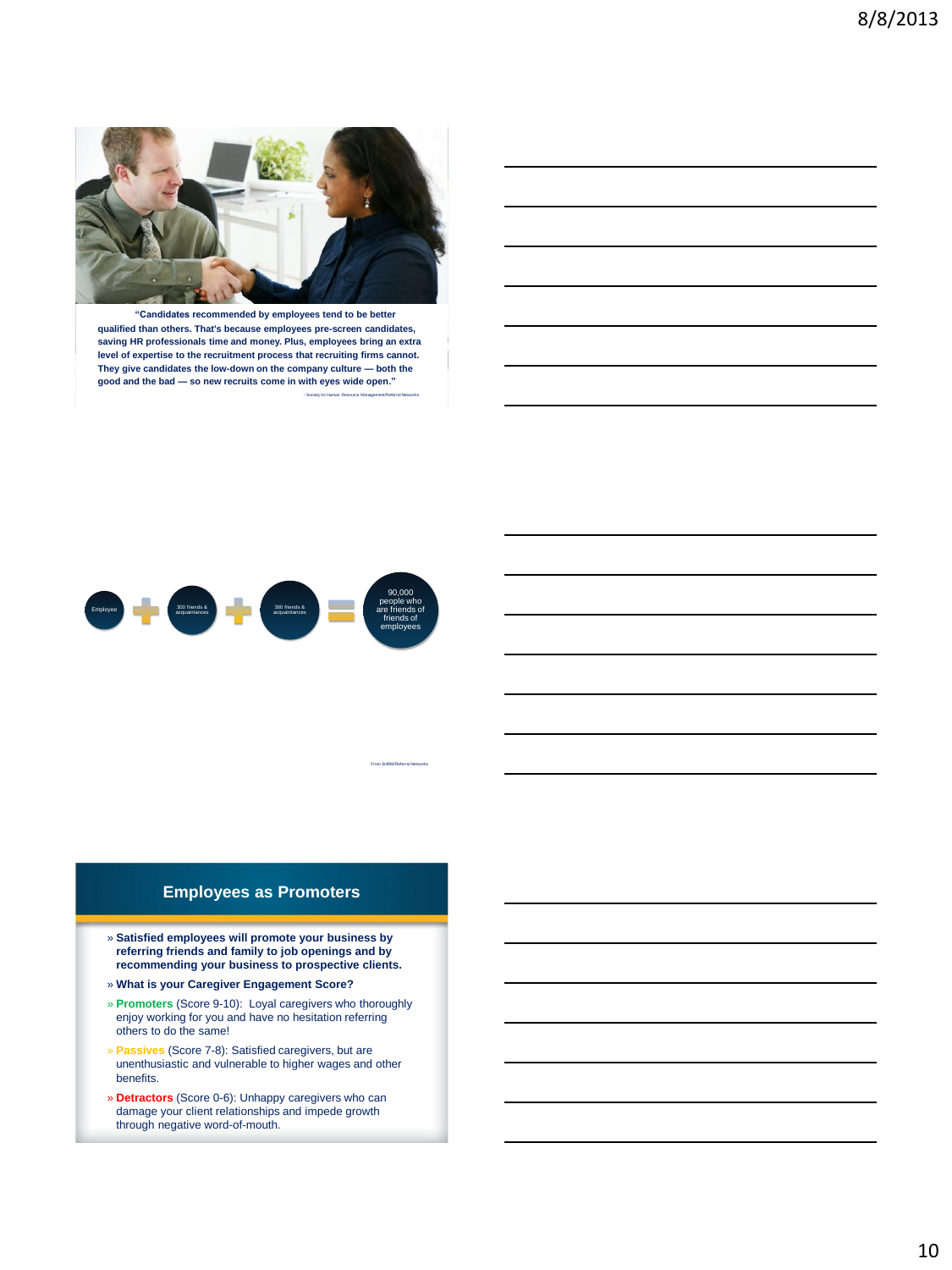

**"Candidates recommended by employees tend to be better qualified than others. That's because employees pre-screen candidates, saving HR professionals time and money. Plus, employees bring an extra level of expertise to the recruitment process that recruiting firms cannot. They give candidates the low-down on the company culture — both the good and the bad — so new recruits come in with eyes wide open."** --Society for Human Resource Management/Referral Networks



## **Employees as Promoters**

From SHRM/Referral Networks

- » **Satisfied employees will promote your business by referring friends and family to job openings and by recommending your business to prospective clients.**
- » **What is your Caregiver Engagement Score?**
- » **Promoters** (Score 9-10): Loyal caregivers who thoroughly enjoy working for you and have no hesitation referring others to do the same!
- » **Passives** (Score 7-8): Satisfied caregivers, but are unenthusiastic and vulnerable to higher wages and other benefits.
- » **Detractors** (Score 0-6): Unhappy caregivers who can damage your client relationships and impede growth through negative word-of-mouth.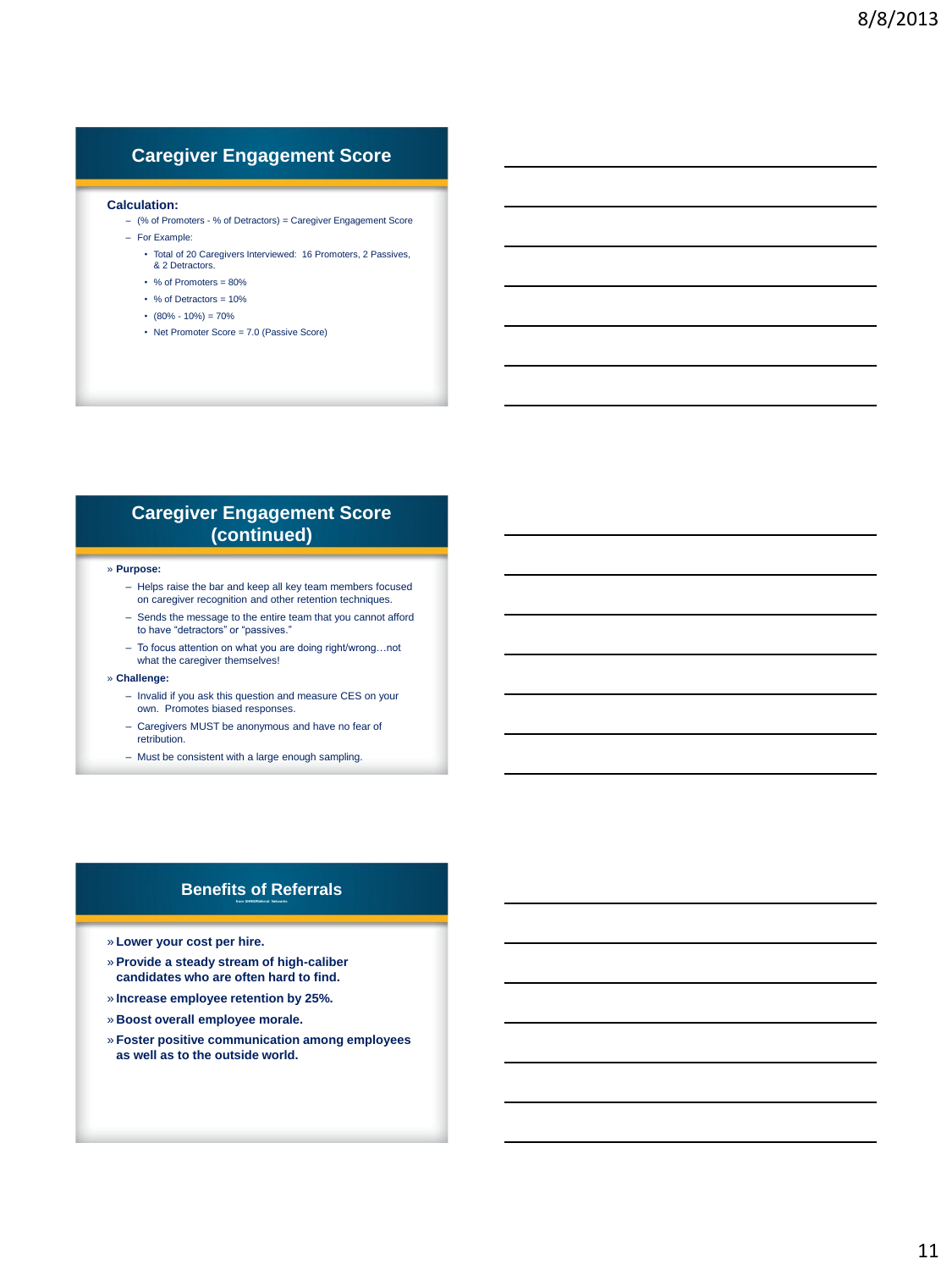## **Caregiver Engagement Score**

#### **Calculation:**

- (% of Promoters % of Detractors) = Caregiver Engagement Score
- For Example:
	- Total of 20 Caregivers Interviewed: 16 Promoters, 2 Passives, & 2 Detractors.
	- % of Promoters = 80%
	- % of Detractors = 10%
	- $\cdot$  (80% 10%) = 70%
	- Net Promoter Score = 7.0 (Passive Score)

## **Caregiver Engagement Score (continued)**

#### » **Purpose:**

- Helps raise the bar and keep all key team members focused on caregiver recognition and other retention techniques.
- Sends the message to the entire team that you cannot afford to have "detractors" or "passives."
- To focus attention on what you are doing right/wrong…not what the caregiver themselves!
- » **Challenge:**
	- Invalid if you ask this question and measure CES on your own. Promotes biased responses.
	- Caregivers MUST be anonymous and have no fear of retribution.
	- Must be consistent with a large enough sampling.

#### **Benefits of Referrals from SHRM/Referral Networks**

- » **Lower your cost per hire.**
- » **Provide a steady stream of high-caliber candidates who are often hard to find.**
- » **Increase employee retention by 25%.**
- » **Boost overall employee morale.**
- » **Foster positive communication among employees as well as to the outside world.**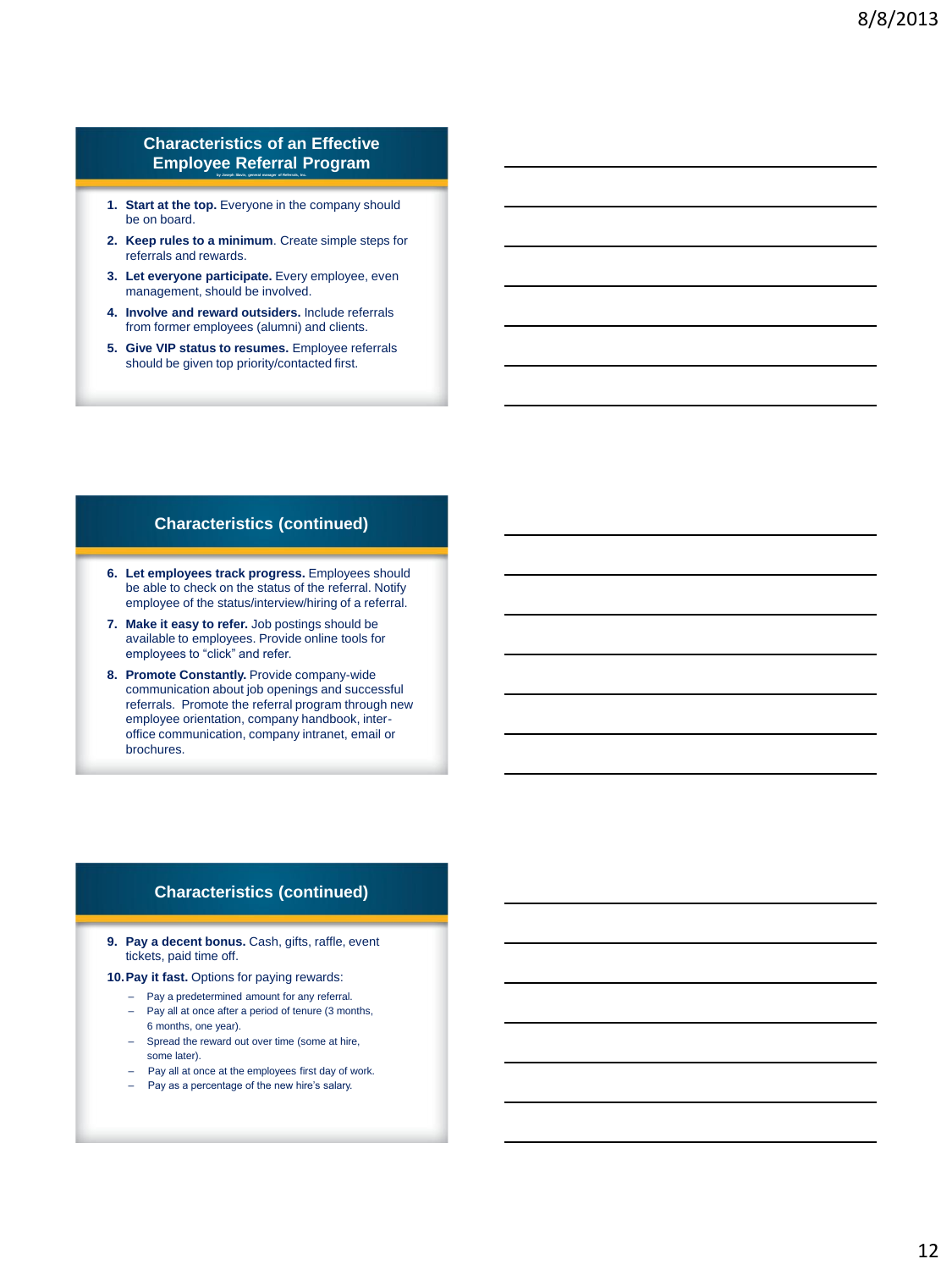#### **Characteristics of an Effective Employee Referral Program by Joseph Slavin, general manager of Referrals, Inc.**

- 1. **Start at the top.** Everyone in the company should be on board.
- **2. Keep rules to a minimum**. Create simple steps for referrals and rewards.
- **3. Let everyone participate.** Every employee, even management, should be involved.
- **4. Involve and reward outsiders.** Include referrals from former employees (alumni) and clients.
- **5. Give VIP status to resumes.** Employee referrals should be given top priority/contacted first.

#### **Characteristics (continued)**

- **6. Let employees track progress.** Employees should be able to check on the status of the referral. Notify employee of the status/interview/hiring of a referral.
- **7. Make it easy to refer.** Job postings should be available to employees. Provide online tools for employees to "click" and refer.
- **8. Promote Constantly.** Provide company-wide communication about job openings and successful referrals. Promote the referral program through new employee orientation, company handbook, interoffice communication, company intranet, email or brochures.

#### **Characteristics (continued)**

- **9. Pay a decent bonus.** Cash, gifts, raffle, event tickets, paid time off.
- **10.Pay it fast.** Options for paying rewards:
	- Pay a predetermined amount for any referral.
	- Pay all at once after a period of tenure (3 months, 6 months, one year).
	- Spread the reward out over time (some at hire, some later).
	- Pay all at once at the employees first day of work.
	- Pay as a percentage of the new hire's salary.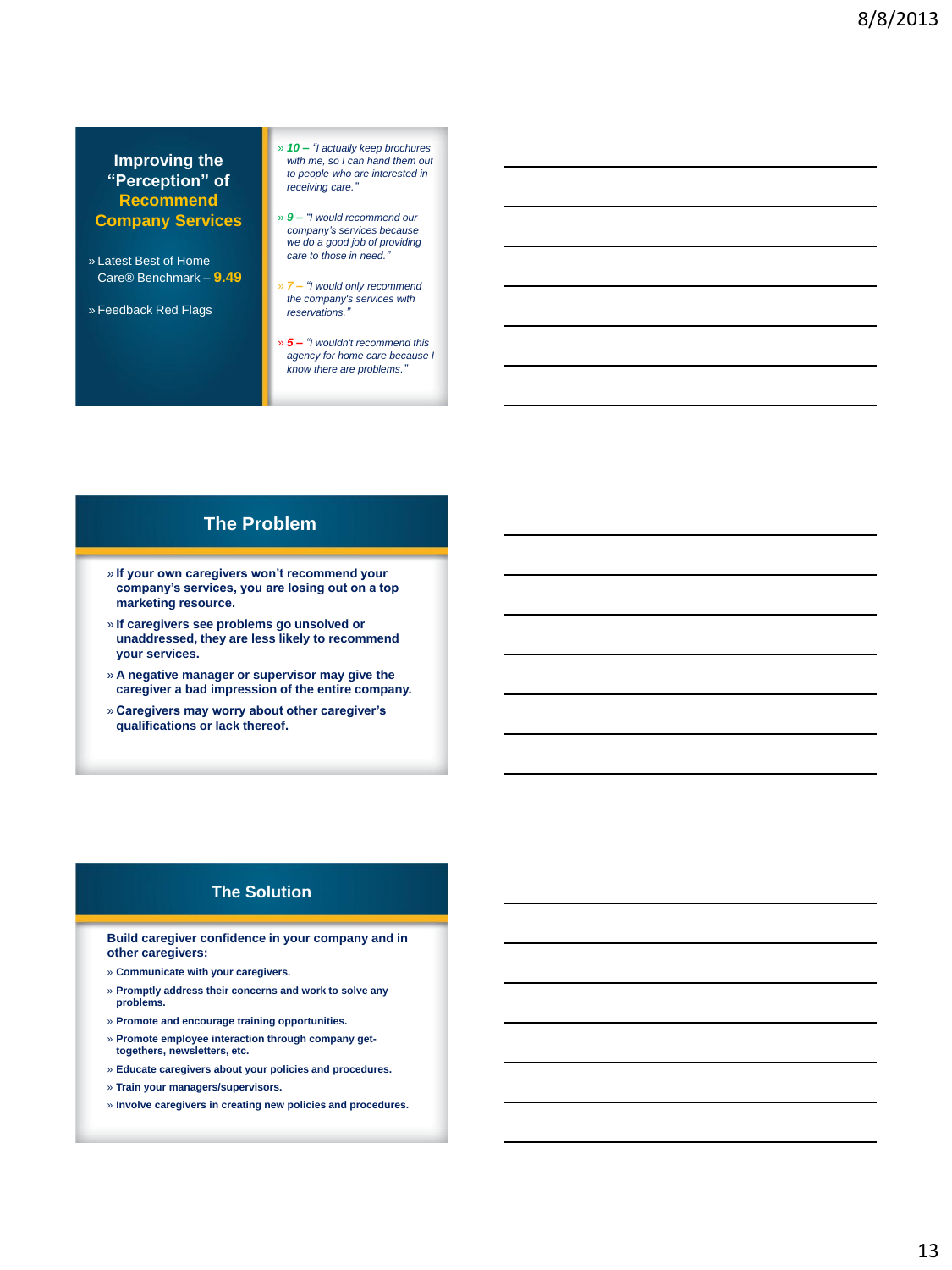#### **Improving the "Perception" of Recommend Company Services**

- » Latest Best of Home Care® Benchmark – **9.49**
- » Feedback Red Flags
- » *10 – "I actually keep brochures with me, so I can hand them out to people who are interested in receiving care."*
- » *9 – "I would recommend our company's services because we do a good job of providing care to those in need."*
- » *7 – "I would only recommend the company's services with reservations."*
- » *5 – "I wouldn't recommend this agency for home care because I know there are problems."*

## **The Problem**

- » **If your own caregivers won't recommend your company's services, you are losing out on a top marketing resource.**
- » **If caregivers see problems go unsolved or unaddressed, they are less likely to recommend your services.**
- » **A negative manager or supervisor may give the caregiver a bad impression of the entire company.**
- » **Caregivers may worry about other caregiver's qualifications or lack thereof.**

#### **The Solution**

**Build caregiver confidence in your company and in other caregivers:**

- » **Communicate with your caregivers.**
- » **Promptly address their concerns and work to solve any problems.**
- » **Promote and encourage training opportunities.**
- » **Promote employee interaction through company gettogethers, newsletters, etc.**
- » **Educate caregivers about your policies and procedures.**
- » **Train your managers/supervisors.**
- » **Involve caregivers in creating new policies and procedures.**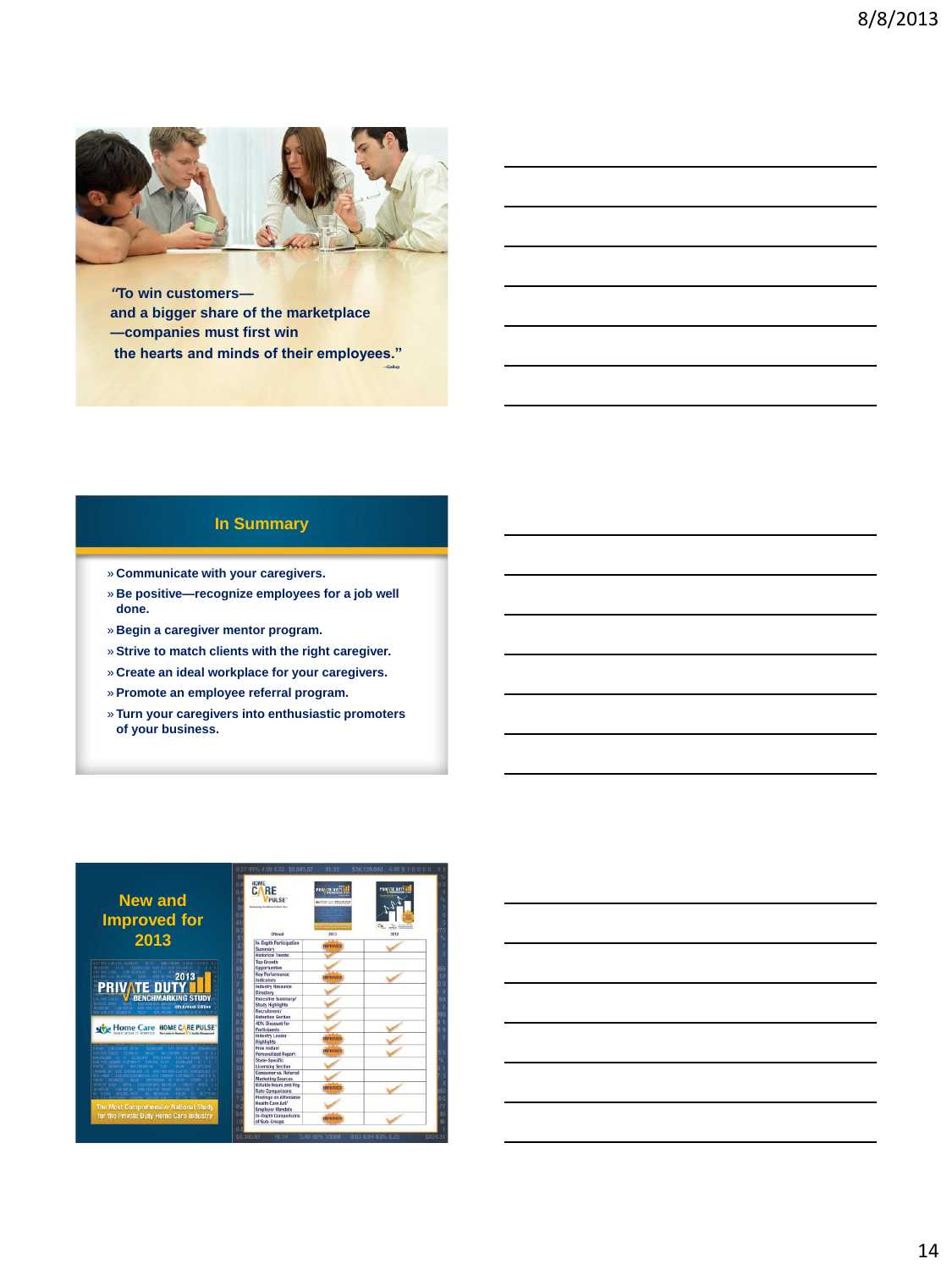

*"***To win customers and a bigger share of the marketplace —companies must first win the hearts and minds of their employees."** 

 **--Gallup**

## **In Summary**

- » **Communicate with your caregivers.**
- » **Be positive—recognize employees for a job well done.**
- » **Begin a caregiver mentor program.**
- » **Strive to match clients with the right caregiver.**
- » **Create an ideal workplace for your caregivers.**
- » **Promote an employee referral program.**
- » **Turn your caregivers into enthusiastic promoters of your business.**

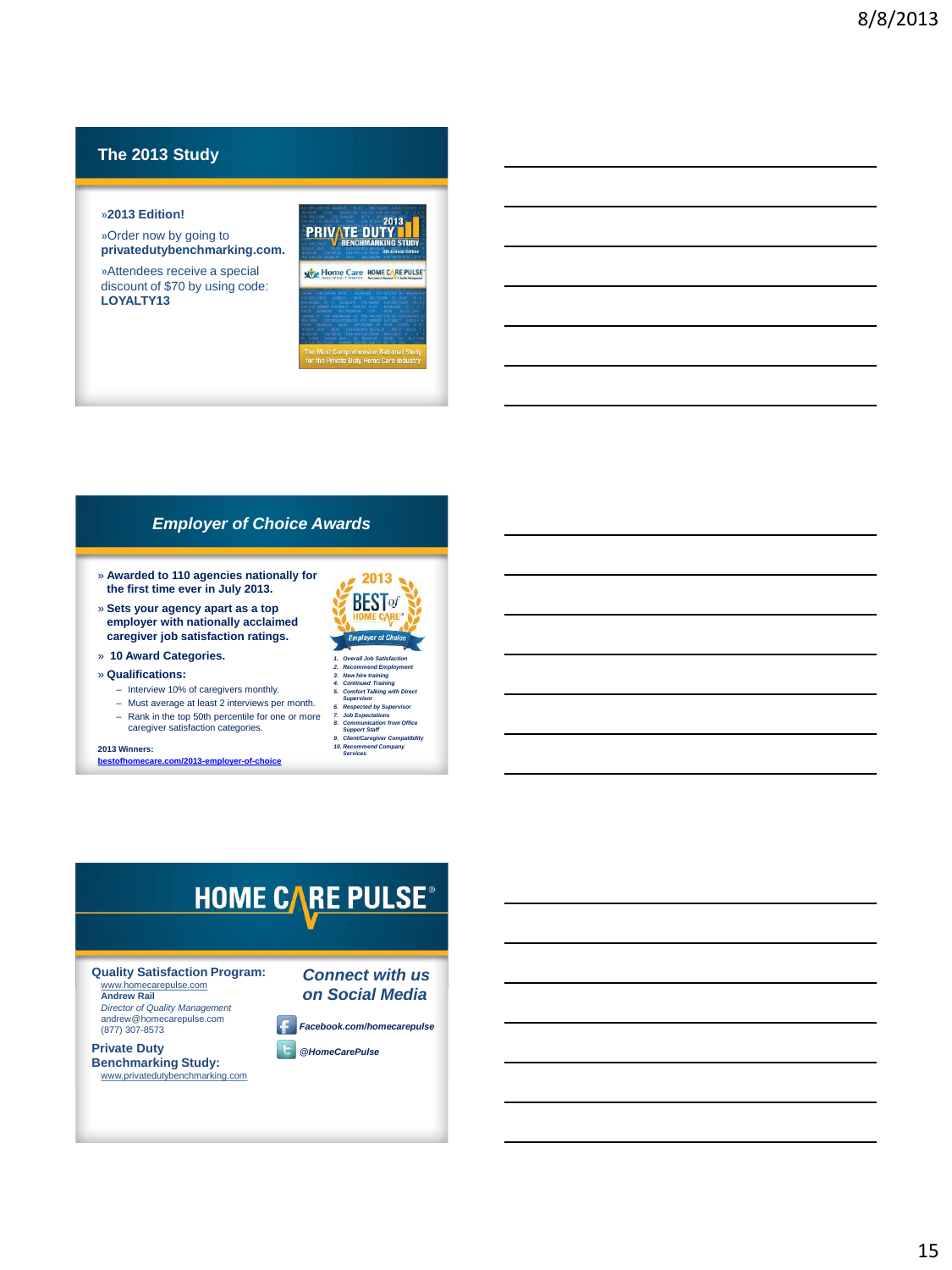## **The 2013 Study**

#### »**2013 Edition!**

»Order now by going to **privatedutybenchmarking.com.** 

»Attendees receive a special discount of \$70 by using code: **LOYALTY13**



#### *Employer of Choice Awards*

- » **Awarded to 110 agencies nationally for the first time ever in July 2013.**
- » **Sets your agency apart as a top employer with nationally acclaimed caregiver job satisfaction ratings.**
- » **10 Award Categories.**
- » **Qualifications:**
	- Interview 10% of caregivers monthly.
	- Must average at least 2 interviews per month.
	- Rank in the top 50th percentile for one or more caregiver satisfaction categories.

**2013 Winners:**

**[bestofhomecare.com/2013-employer-of-choice](http://bestofhomecare.com/2013-employer-of-choice)**



- *2. Recommend Employment*
- *3. New hire training 4. Continued Training*
- 
- *5. Comfort Talking with Direct Supervisor 6. Respected by Supervisor 7. Job Expectations 8. Communication from Office Support Staff*
- 
- *9. Client/Caregiver Compatibility 10. Recommend Company Services*

## **HOME CARE PULSE®**

**Quality Satisfaction Program:** www.homecarepulse.com

**Andrew Rail** *Director of Quality Management* andrew@homecarepulse.com (877) 307-8573

**Private Duty Benchmarking Study:**  www.privatedutybenchmarking.com



*Facebook.com/homecarepulse*